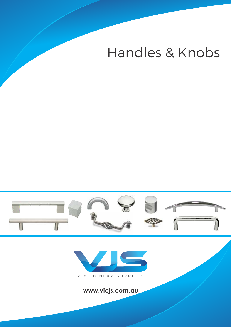# Handles & Knobs





**www.vicjs.com.au**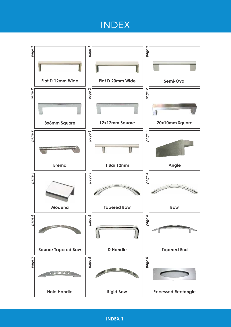## INDEX

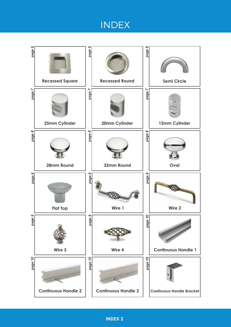## INDEX

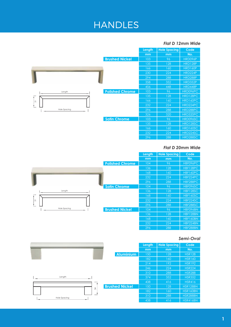#### *Flat D 12mm Wide*

|                                  | Length | <b>Hole Spacing</b> | Code           |
|----------------------------------|--------|---------------------|----------------|
|                                  | mm     | mm                  | No.            |
| <b>Brushed Nickel</b>            | 103    | 96                  | HRD096P        |
|                                  | 135    | 128                 | <b>HRD128P</b> |
|                                  | 166    | 160                 | <b>HRD160P</b> |
|                                  | 230    | 224                 | HRD224P        |
|                                  | 294    | 288                 | <b>HRD288P</b> |
|                                  | 358    | 352                 | <b>HRD352P</b> |
|                                  | 456    | 448                 | <b>HRD448P</b> |
| <b>Polished Chrome</b><br>Length | 103    | 96                  | HRD096PC       |
|                                  | 135    | 128                 | HRD128PC       |
| $\overline{5}$                   | 166    | 160                 | HRD160PC       |
|                                  | 232    | 224                 | HRD224PC       |
| <b>Hole Spacing</b>              | 296    | 288                 | HRD288PC       |
|                                  | 326    | 320                 | HRD320PC       |
| <b>Satin Chrome</b>              | 103    | 96                  | HRD096SC       |
|                                  | 135    | 128                 | HRD128SC       |
|                                  | 166    | 160                 | HRD160SC       |
|                                  | 232    | 224                 | HRD224SC       |
|                                  | 296    | 288                 | HRD288SC       |

### *Flat D 20mm Wide*

|                                       | Length | <b>Hole Spacing</b> | Code            |
|---------------------------------------|--------|---------------------|-----------------|
|                                       | mm     | mm                  | No.             |
| <b>Polished Chrome</b>                | 104    | 96                  | HBF096PC        |
|                                       | 136    | 128                 | HBF128PC        |
|                                       | 168    | 160                 | HBF160PC        |
|                                       | 232    | 224                 | HBF224PC        |
|                                       | 296    | 288                 | HBF288PC        |
| <b>Satin Chrome</b>                   | 104    | 96                  | HBF096SC        |
| Length                                | 136    | 128                 | <b>HBF128SC</b> |
|                                       | 168    | 160                 | HBF160SC        |
| $\overline{5}$                        | 232    | 224                 | HBF224SC        |
|                                       | 296    | 288                 | <b>HBF288SC</b> |
| Hole Spacing<br><b>Brushed Nickel</b> | 104    | 96                  | HBF096BN        |
|                                       | 136    | 128                 | <b>HBF128BN</b> |
|                                       | 168    | 160                 | HBF160BN        |
|                                       | 232    | 224                 | HBF224BN        |
|                                       | 296    | 288                 | HBF288BN        |

#### *Semi-Oval*

|                                        | Length | <b>Hole Spacing</b> | Code            |
|----------------------------------------|--------|---------------------|-----------------|
|                                        | mm     | mm                  | No.             |
| <b>Aluminium</b>                       | 150    | 128                 | <b>HSR128</b>   |
|                                        | 182    | 160                 | <b>HSR160</b>   |
|                                        | 214    | 192                 | <b>HSR192</b>   |
|                                        | 246    | 224                 | <b>HSR224</b>   |
|                                        | 310    | 288                 | <b>HSR288</b>   |
| Length                                 | 374    | 352                 | <b>HSR352</b>   |
|                                        | 438    | 416                 | <b>HSR416</b>   |
| <b>Brushed Nickel</b><br>$\frac{1}{2}$ | 150    | 128                 | HSR128BN        |
|                                        | 182    | 160                 | HSR160BN        |
| <b>Hole Spacing</b>                    | 310    | 288                 | HSR288BN        |
|                                        | 438    | 416                 | <b>HSR416BN</b> |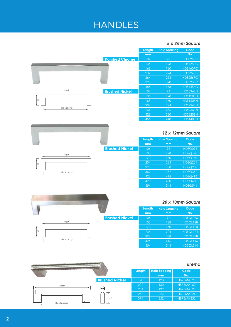### *8 x 8mm Square*

|                                 | Length | <b>Hole Spacing</b> | Code     |
|---------------------------------|--------|---------------------|----------|
|                                 | mm     | mm                  | No.      |
| <b>Polished Chrome</b>          | 104    | 96                  | HDS096PC |
|                                 | 136    | 128                 | HDS128PC |
|                                 | 168    | 160                 | HDS160PC |
|                                 | 232    | 224                 | HDS224PC |
|                                 | 264    | 256                 | HDS256PC |
|                                 | 328    | 320                 | HDS320PC |
|                                 | 456    | 448                 | HDS448PC |
| Length<br><b>Brushed Nickel</b> | 104    | 96                  | HDS096BN |
|                                 | 136    | 128                 | HDS128BN |
| 28                              | 168    | 160                 | HDS160BN |
|                                 | 232    | 224                 | HDS224BN |
| Hole Spacing                    | 264    | 256                 | HDS256BN |
|                                 | 328    | 320                 | HDS320BN |
|                                 | 456    | 448                 | HDS448BN |

### *12 x 12mm Square*

|                       | Length | <b>Hole Spacing</b> | Code           |
|-----------------------|--------|---------------------|----------------|
|                       | mm     | mm                  | No.            |
| <b>Brushed Nickel</b> | 106    | 96                  | HDSQ096        |
|                       | 138    | 128                 | <b>HDSQ128</b> |
|                       | 170    | 160                 | <b>HDSQ160</b> |
|                       | 234    | 224                 | <b>HDSQ224</b> |
|                       | 298    | 288                 | <b>HDSQ288</b> |
|                       | 362    | 352                 | <b>HDSQ352</b> |
|                       | 426    | 416                 | <b>HDSQ416</b> |
|                       | 490    | 480                 | <b>HDSQ480</b> |
|                       | 554    | 544                 | <b>HDSQ544</b> |



### *20 x 10mm Square*

| Length | <b>Hole Spacing</b> | Code     |
|--------|---------------------|----------|
| mm     | mm                  | No.      |
| 106    | 96                  | HDSQL096 |
| 138    | 128                 | HDSQL128 |
| 170    | 160                 | HDSQL160 |
| 234    | 224                 | HDSQL224 |
| 298    | 288                 | HDSQL288 |
| 426    | 416                 | HDSQL416 |
| 554    | 544                 | HDSQL544 |

320



| 化硫氨酸酯 电线 医超低度病化 电极性 医表面过滤的过去式和过去分词 电电话链路控制表示 | 的现在分词 化气管的 医皮肤病 医皮肤炎 医弗朗斯氏试验检梅毒素试验检梅毒素 |        |                     | <b>Brema</b> |
|----------------------------------------------|----------------------------------------|--------|---------------------|--------------|
| 21575 77                                     |                                        | Length | <b>Hole Spacing</b> | Code         |
|                                              |                                        | mm     | mm                  | No.          |
|                                              | <b>Brushed Nickel</b>                  | 170    | 128                 | HBREMA128    |
| Length                                       | 14 <sub>1</sub>                        | 202    | 160                 | HBREMA160    |
|                                              | l⊷⊧                                    | 234    | 192                 | HBREMA192    |
|                                              |                                        | 266    | 224                 | HBREMA224    |
| n                                            | 36<br>B.                               | 394    | 352                 | HBREMA352    |
| Hole Spacing                                 |                                        |        |                     |              |
|                                              |                                        |        |                     |              |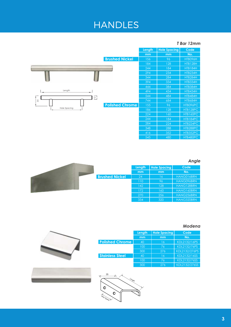#### *T Bar 12mm*



#### *Angle*

 $HTB480PC$ 

|      | Length | <b>Hole Spacing</b> | Code              |
|------|--------|---------------------|-------------------|
|      | mm     | mm                  | No.               |
| ckel | 24     | 16                  | HANG016BRN        |
|      | 110    | 96                  | HANG096BRN        |
|      | 142    | 128                 | HANG128BRN        |
|      | 172    | 160                 | <b>HANG160BRN</b> |
|      | 270    | 256                 | <b>HANG256BRN</b> |
|      | 334    | 320                 | <b>HANG320BRN</b> |

480

 $\frac{1}{545}$ 



#### *Modena*

|                        | Length | <b>Hole Spacing</b> | Code          |
|------------------------|--------|---------------------|---------------|
|                        | mm     | mm                  | No.           |
| <b>Polished Chrome</b> | 40     | 16                  | KDL2132/16PS  |
|                        | 100    | 76                  | KDL2132/76PS  |
|                        | 300    | 276                 | KDL2132/276PS |
| <b>Stainless Steel</b> | 40     | 16                  | KDL2132/16SS  |
|                        | 100    | 76                  | KDL2132/76SS  |
|                        | 300    | 276                 | KDL2132/276SS |



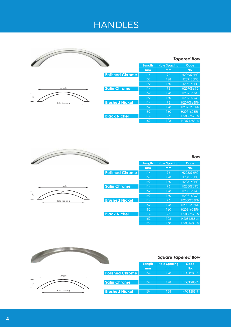|                          |                        |        |                     | <b>Tapered Bow</b> |
|--------------------------|------------------------|--------|---------------------|--------------------|
|                          |                        | Length | <b>Hole Spacing</b> | Code               |
|                          |                        | mm     | mm                  | No.                |
|                          | <b>Polished Chrome</b> | 114    | 96                  | H209096PC          |
|                          |                        | 152    | 128                 | H209128PC          |
|                          |                        | 192    | 160                 | H209160PC          |
| Length                   | <b>Satin Chrome</b>    | 114    | 96                  | H209096SC          |
| $\overline{+}$           |                        | 152    | 128                 | H209128SC          |
| $\frac{8}{3}$            |                        | 192    | 160                 | H209160SC          |
| ≛<br><b>Hole Spacing</b> | <b>Brushed Nickel</b>  | 114    | 96                  | H209096BRN         |
|                          |                        | 152    | 128                 | H209128BRN         |
|                          |                        | 192    | 160                 | H209160BRN         |
|                          | <b>Black Nickel</b>    | 114    | 96                  | H209096BLN         |
|                          |                        | 152    | 128                 | H209128BLN         |

|                                   |                        |        |                     | <b>Bow</b> |
|-----------------------------------|------------------------|--------|---------------------|------------|
|                                   |                        | Length | <b>Hole Spacing</b> | Code       |
|                                   |                        | mm     | mm                  | No.        |
|                                   | <b>Polished Chrome</b> | 114    | 96                  | H208096PC  |
|                                   |                        | 152    | 128                 | H208128PC  |
|                                   |                        | 192    | 160                 | H208160PC  |
| Length                            | <b>Satin Chrome</b>    | 114    | 96                  | H208096SC  |
| $\overline{\bullet}$<br>$\Phi$ 10 |                        | 152    | 128                 | H208128SC  |
| $\frac{8}{3}$                     |                        | 192    | 160                 | H208160SC  |
| Hole Spacing                      | <b>Brushed Nickel</b>  | 114    | 96                  | H208096BRN |
|                                   |                        | 152    | 128                 | H208128BRN |
|                                   |                        | 192    | 160                 | H208160BRN |
|                                   | <b>Black Nickel</b>    | 114    | 96                  | H208096BLN |
|                                   |                        | 152    | 128                 | H208128BLN |
|                                   |                        | 192    | 160                 | H208160BLN |

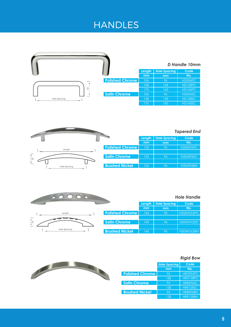|                     |                        |        |                     | <b>D</b> Handle 10mm |
|---------------------|------------------------|--------|---------------------|----------------------|
|                     |                        | Length | <b>Hole Spacing</b> | Code                 |
|                     |                        | mm     | mm                  | No.                  |
|                     | <b>Polished Chrome</b> | 106    | 96                  | HD096PC              |
|                     |                        | 138    | 128                 | HD128PC              |
| 32                  |                        | 170    | 160                 | HD160PC              |
|                     | <b>Satin Chrome</b>    | 106    | 96                  | HD096SC              |
| <b>Hole Spacing</b> |                        | 138    | 128                 | <b>HD128SC</b>       |
|                     |                        | 170    | 160                 | <b>HD160SC</b>       |

|                     | <b>Tapered End</b>     |        |                     |           |
|---------------------|------------------------|--------|---------------------|-----------|
|                     |                        | Length | <b>Hole Spacing</b> | Code      |
|                     |                        | mm     | mm                  | No.       |
| Length              | <b>Polished Chrome</b> | 135    | 96                  | H206096PC |
|                     |                        |        |                     |           |
| <b>25</b>           | <b>Satin Chrome</b>    | 135    | 96                  | H206096SC |
|                     |                        |        |                     |           |
| <b>Hole Spacing</b> | <b>Brushed Nickel</b>  | 135    | 96                  | H206096BN |

#### *Hole Handle*

|                        | Length | <b>Hole Spacing</b> | Code       |
|------------------------|--------|---------------------|------------|
|                        | mm     | mm                  | No.        |
| <b>Polished Chrome</b> | 145    | 1961                | H205HOLEPC |
|                        |        |                     |            |
| <b>Satin Chrome</b>    | 45     | 96                  | H205HOLESC |
|                        |        |                     |            |
| <b>Brushed Nickel</b>  | 45     | 96                  | H205HOLEBN |
|                        |        |                     |            |

#### *Rigid Bow*



20000

|                        | <b>Hole Spacing</b> | Code            |
|------------------------|---------------------|-----------------|
|                        | mm                  | No.             |
| <b>Polished Chrome</b> | 96                  | HRD096PC        |
|                        | 128                 | HRD128PC        |
| <b>Satin Chrome</b>    | 96                  | HRB096SC        |
|                        | 128                 | <b>HRB128SC</b> |
| <b>Brushed Nickel</b>  | 96                  | HRB096BN        |
|                        | 128                 | <b>HRB128BN</b> |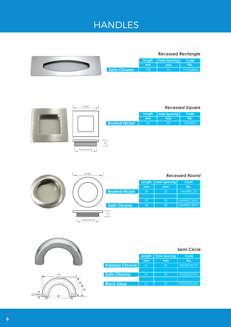

| Length<br>۰. |             |                       |                 |                     | <b>Recessed Square</b> |
|--------------|-------------|-----------------------|-----------------|---------------------|------------------------|
|              |             |                       | Length          | <b>Hole Spacing</b> | Code                   |
|              |             |                       | mm              | mm                  | No.                    |
|              |             | <b>Brushed Nickel</b> | 45 <sub>l</sub> | 40                  | <b>HANREC</b>          |
|              |             |                       |                 |                     |                        |
|              |             |                       |                 |                     |                        |
|              |             |                       |                 |                     |                        |
|              | $\supseteq$ |                       |                 |                     |                        |
| Hole Spacing |             |                       |                 |                     |                        |







|                        |        |                     | <b>Semi Circle</b> |
|------------------------|--------|---------------------|--------------------|
|                        | Length | <b>Hole Spacing</b> | Code               |
|                        | mm     | mm                  | No.                |
| <b>Polished Chrome</b> | 41     | 32                  | KB230/32-PC        |
|                        |        |                     |                    |
| <b>Satin Chrome</b>    | 41     | 32                  | KB230/32-SC        |
|                        |        |                     |                    |
| <b>Black Gloss</b>     | 41     | 32                  | KB230/32-BG        |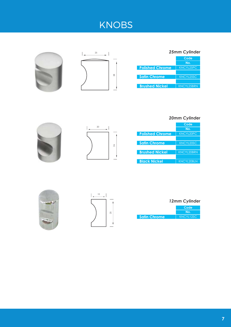# KNOBS





|                        | 25mm Cylinder     |  |  |
|------------------------|-------------------|--|--|
|                        | Code              |  |  |
|                        | No.               |  |  |
| <b>Polished Chrome</b> | KNCYL25PC         |  |  |
|                        |                   |  |  |
| <b>Satin Chrome</b>    | KNCYL25SC         |  |  |
|                        |                   |  |  |
| <b>Brushed Nickel</b>  | <b>KNCYL25BRN</b> |  |  |

### *20mm Cylinder*





|                        | Code              |
|------------------------|-------------------|
|                        | No.               |
| <b>Polished Chrome</b> | KNCYL20PC         |
|                        |                   |
| <b>Satin Chrome</b>    | KNCYL20SC         |
|                        |                   |
| <b>Brushed Nickel</b>  | <b>KNCYL20BRN</b> |
|                        |                   |
| <b>Black Nickel</b>    | <b>KNCYL20BLN</b> |





| 12mm Cylinder |
|---------------|
| Code          |
| No.           |

**Satin Chrome** KNCYL12SC

**7**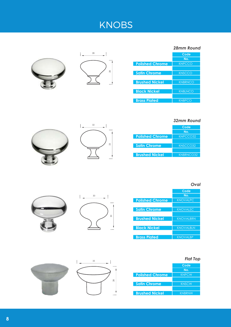# KNOBS





|                        | 28mm Round     |
|------------------------|----------------|
|                        | Code           |
|                        | No.            |
| <b>Polished Chrome</b> | <b>KNPCCO</b>  |
|                        |                |
| <b>Satin Chrome</b>    | <b>KNSCCO</b>  |
|                        |                |
| <b>Brushed Nickel</b>  | <b>KNBRNCO</b> |
|                        |                |
| <b>Black Nickel</b>    | <b>KNBLNCO</b> |
|                        |                |
| <b>Brass Plated</b>    | <b>KNBPCO</b>  |





*32mm Round*

**Code No.**

*Oval*

|                        | Code      |
|------------------------|-----------|
|                        | No.       |
| <b>Polished Chrome</b> | KNPCCO32  |
|                        |           |
| <b>Satin Chrome</b>    | KNSCCO32  |
|                        |           |
| <b>Brushed Nickel</b>  | KNBRNCO32 |



35

 $\overline{a}$ 

28

 $\overline{\phantom{0}}$ 

**Polished Chrome Satin Chrome Brushed Nickel Black Nickel Brass Plated** KNOVALPC KNOVALSC KNOVALBRN KNOVALBLN KNOVALBP

### *Flat Top*

|                        | Code          |
|------------------------|---------------|
|                        | No.           |
| <b>Polished Chrome</b> | <b>KNPCW</b>  |
|                        |               |
| <b>Satin Chrome</b>    | <b>KNSCW</b>  |
|                        |               |
| <b>Brushed Nickel</b>  | <b>KNBRNW</b> |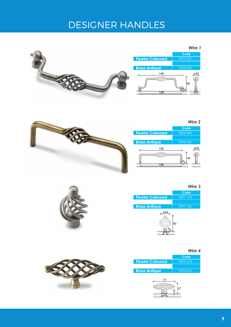# DESIGNER HANDLES

|  |                                    | Wire 1                       |
|--|------------------------------------|------------------------------|
|  |                                    | Code                         |
|  | <b>Pewter Coloured</b>             | 9070 921                     |
|  |                                    |                              |
|  | <b>Brass Antique</b>               | 9070 925                     |
|  | 146<br>$^{\leftrightarrow}$<br>128 | ø20<br>58<br>$\frac{44}{13}$ |



![](_page_12_Picture_3.jpeg)

![](_page_12_Picture_4.jpeg)

*Wire 4*

 $20$ 

*Wire 3*

![](_page_12_Picture_6.jpeg)

**Code Pewter Coloured Brass Antique** 9070 510 9070 513

![](_page_12_Picture_8.jpeg)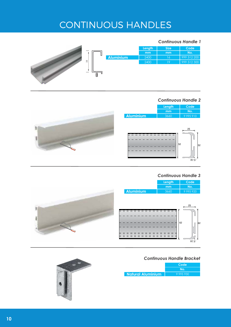# CONTINUOUS HANDLES

#### *Continuous Handle 1*

![](_page_13_Figure_2.jpeg)

#### *Continuous Handle 2*

![](_page_13_Figure_4.jpeg)

#### *Continuous Handle 3*

![](_page_13_Figure_6.jpeg)

#### *Continuous Handle Bracket*

|                      | Code      |  |
|----------------------|-----------|--|
|                      | No.       |  |
| ' Natural Aluminium, | 9 995 930 |  |

![](_page_13_Picture_9.jpeg)